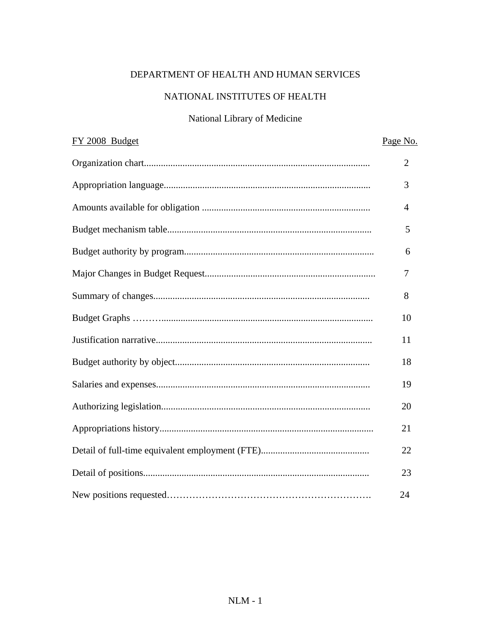## DEPARTMENT OF HEALTH AND HUMAN SERVICES

## NATIONAL INSTITUTES OF HEALTH

## National Library of Medicine

| FY 2008 Budget | Page No.       |
|----------------|----------------|
|                | $\overline{2}$ |
|                | 3              |
|                | $\overline{4}$ |
|                | 5              |
|                | 6              |
|                | 7              |
|                | 8              |
|                | 10             |
|                | 11             |
|                | 18             |
|                | 19             |
|                | 20             |
|                | 21             |
|                | 22             |
|                | 23             |
|                | 24             |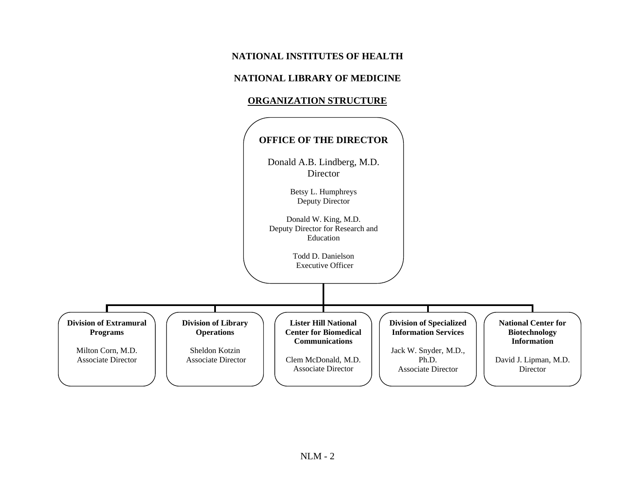### **NATIONAL INSTITUTES OF HEALTH**

#### **NATIONAL LIBRARY OF MEDICINE**

#### **ORGANIZATION STRUCTURE**

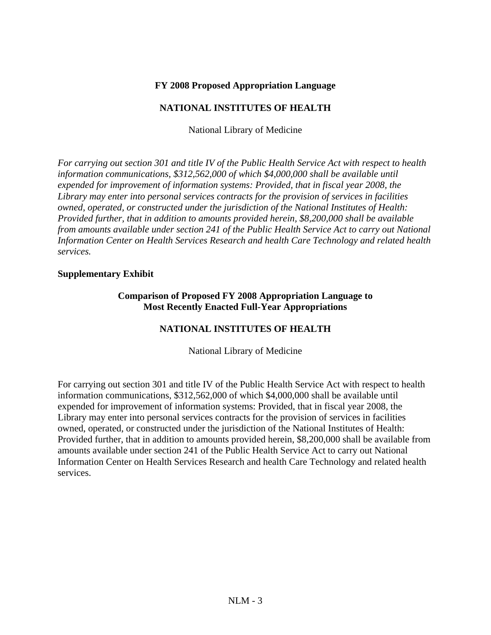#### **FY 2008 Proposed Appropriation Language**

#### **NATIONAL INSTITUTES OF HEALTH**

National Library of Medicine

*For carrying out section 301 and title IV of the Public Health Service Act with respect to health information communications, \$312,562,000 of which \$4,000,000 shall be available until expended for improvement of information systems: Provided, that in fiscal year 2008, the Library may enter into personal services contracts for the provision of services in facilities owned, operated, or constructed under the jurisdiction of the National Institutes of Health: Provided further, that in addition to amounts provided herein, \$8,200,000 shall be available from amounts available under section 241 of the Public Health Service Act to carry out National Information Center on Health Services Research and health Care Technology and related health services.* 

#### **Supplementary Exhibit**

#### **Comparison of Proposed FY 2008 Appropriation Language to Most Recently Enacted Full-Year Appropriations**

#### **NATIONAL INSTITUTES OF HEALTH**

National Library of Medicine

For carrying out section 301 and title IV of the Public Health Service Act with respect to health information communications, \$312,562,000 of which \$4,000,000 shall be available until expended for improvement of information systems: Provided, that in fiscal year 2008, the Library may enter into personal services contracts for the provision of services in facilities owned, operated, or constructed under the jurisdiction of the National Institutes of Health: Provided further, that in addition to amounts provided herein, \$8,200,000 shall be available from amounts available under section 241 of the Public Health Service Act to carry out National Information Center on Health Services Research and health Care Technology and related health services.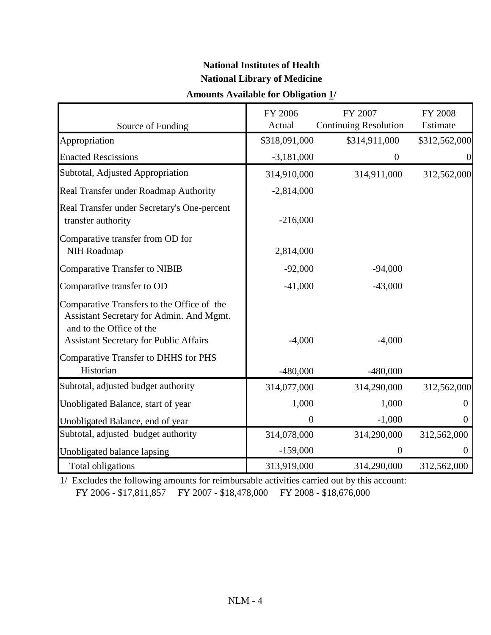# **National Institutes of Health National Library of Medicine**

## **Amounts Available for Obligation 1/**

| Source of Funding                                                                                                                                                   | FY 2006<br>Actual | FY 2007<br><b>Continuing Resolution</b> | FY 2008<br>Estimate |
|---------------------------------------------------------------------------------------------------------------------------------------------------------------------|-------------------|-----------------------------------------|---------------------|
| Appropriation                                                                                                                                                       | \$318,091,000     | \$314,911,000                           | \$312,562,000       |
| <b>Enacted Rescissions</b>                                                                                                                                          | $-3,181,000$      | $\overline{0}$                          | $\boldsymbol{0}$    |
| Subtotal, Adjusted Appropriation                                                                                                                                    | 314,910,000       | 314,911,000                             | 312,562,000         |
| Real Transfer under Roadmap Authority                                                                                                                               | $-2,814,000$      |                                         |                     |
| Real Transfer under Secretary's One-percent<br>transfer authority                                                                                                   | $-216,000$        |                                         |                     |
| Comparative transfer from OD for<br>NIH Roadmap                                                                                                                     | 2,814,000         |                                         |                     |
| Comparative Transfer to NIBIB                                                                                                                                       | $-92,000$         | $-94,000$                               |                     |
| Comparative transfer to OD                                                                                                                                          | $-41,000$         | $-43,000$                               |                     |
| Comparative Transfers to the Office of the<br>Assistant Secretary for Admin. And Mgmt.<br>and to the Office of the<br><b>Assistant Secretary for Public Affairs</b> | $-4,000$          | $-4,000$                                |                     |
| <b>Comparative Transfer to DHHS for PHS</b><br>Historian                                                                                                            | $-480,000$        | $-480,000$                              |                     |
| Subtotal, adjusted budget authority                                                                                                                                 | 314,077,000       | 314,290,000                             | 312,562,000         |
| Unobligated Balance, start of year                                                                                                                                  | 1,000             | 1,000                                   | $\theta$            |
| Unobligated Balance, end of year                                                                                                                                    | $\overline{0}$    | $-1,000$                                | $\overline{0}$      |
| Subtotal, adjusted budget authority                                                                                                                                 | 314,078,000       | 314,290,000                             | 312,562,000         |
| Unobligated balance lapsing                                                                                                                                         | $-159,000$        | $\overline{0}$                          | $\theta$            |
| Total obligations                                                                                                                                                   | 313,919,000       | 314,290,000                             | 312,562,000         |

 $\frac{1}{2}$  Excludes the following amounts for reimbursable activities carried out by this account: FY 2006 - \$17,811,857 FY 2007 - \$18,478,000 FY 2008 - \$18,676,000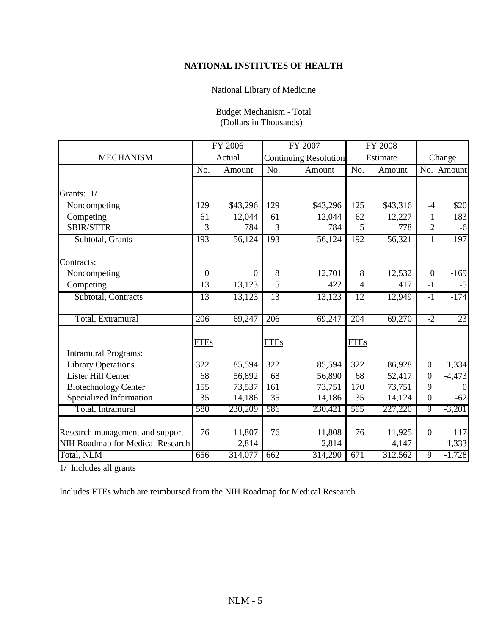## **NATIONAL INSTITUTES OF HEALTH**

## National Library of Medicine

| Budget Mechanism - Total |
|--------------------------|
| (Dollars in Thousands)   |

|                                  |                  | FY 2006  |                 | FY 2007                      |             | <b>FY 2008</b> |                  |            |
|----------------------------------|------------------|----------|-----------------|------------------------------|-------------|----------------|------------------|------------|
| <b>MECHANISM</b>                 |                  | Actual   |                 | <b>Continuing Resolution</b> |             | Estimate       |                  | Change     |
|                                  | No.              | Amount   | No.             | Amount                       | No.         | Amount         |                  | No. Amount |
|                                  |                  |          |                 |                              |             |                |                  |            |
| Grants: 1/                       |                  |          |                 |                              |             |                |                  |            |
| Noncompeting                     | 129              | \$43,296 | 129             | \$43,296                     | 125         | \$43,316       | $-4$             | \$20       |
| Competing                        | 61               | 12,044   | 61              | 12,044                       | 62          | 12,227         | $\mathbf{1}$     | 183        |
| <b>SBIR/STTR</b>                 | 3                | 784      | 3               | 784                          | 5           | 778            | 2                | $-6$       |
| Subtotal, Grants                 | 193              | 56,124   | 193             | 56,124                       | 192         | 56,321         | $-1$             | 197        |
|                                  |                  |          |                 |                              |             |                |                  |            |
| Contracts:                       |                  |          |                 |                              |             |                |                  |            |
| Noncompeting                     | $\boldsymbol{0}$ | $\theta$ | 8               | 12,701                       | 8           | 12,532         | $\boldsymbol{0}$ | $-169$     |
| Competing                        | 13               | 13,123   | 5               | 422                          | 4           | 417            | $-1$             | $-5$       |
| Subtotal, Contracts              | 13               | 13,123   | $\overline{13}$ | 13,123                       | 12          | 12,949         | $-1$             | $-174$     |
|                                  |                  |          |                 |                              |             |                |                  |            |
| Total, Extramural                | 206              | 69,247   | 206             | 69,247                       | 204         | 69,270         | $-2$             | 23         |
|                                  |                  |          |                 |                              |             |                |                  |            |
|                                  | <b>FTEs</b>      |          | <b>FTEs</b>     |                              | <b>FTEs</b> |                |                  |            |
| <b>Intramural Programs:</b>      |                  |          |                 |                              |             |                |                  |            |
| <b>Library Operations</b>        | 322              | 85,594   | 322             | 85,594                       | 322         | 86,928         | $\overline{0}$   | 1,334      |
| Lister Hill Center               | 68               | 56,892   | 68              | 56,890                       | 68          | 52,417         | $\boldsymbol{0}$ | $-4,473$   |
| <b>Biotechnology Center</b>      | 155              | 73,537   | 161             | 73,751                       | 170         | 73,751         | 9                | $\Omega$   |
| Specialized Information          | 35               | 14,186   | 35              | 14,186                       | 35          | 14,124         | $\boldsymbol{0}$ | $-62$      |
| Total, Intramural                | 580              | 230,209  | 586             | 230,421                      | 595         | 227,220        | 9                | $-3,201$   |
|                                  |                  |          |                 |                              |             |                |                  |            |
| Research management and support  | 76               | 11,807   | 76              | 11,808                       | 76          | 11,925         | $\overline{0}$   | 117        |
| NIH Roadmap for Medical Research |                  | 2,814    |                 | 2,814                        |             | 4,147          |                  | 1,333      |
| Total, NLM                       | 656              | 314,077  | 662             | 314,290                      | 671         | 312,562        | $\overline{9}$   | $-1,728$   |

 $1/$  Includes all grants

Includes FTEs which are reimbursed from the NIH Roadmap for Medical Research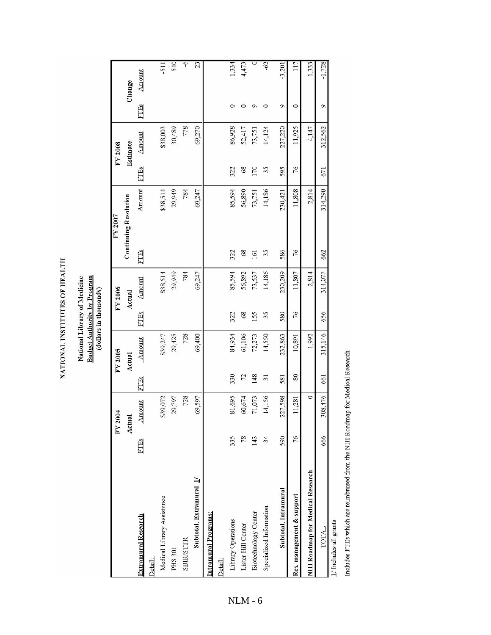NATIONAL INSTITUTES OF HEALTH

# National Library of Medicine<br>Budget Authority by Program (dollars in thousands)

FY 2007

|                                         |               | FY 2004     |                | FY 2005  |      | FY 2006  | FY 2007                      |          |      | FY 2008  |         |          |
|-----------------------------------------|---------------|-------------|----------------|----------|------|----------|------------------------------|----------|------|----------|---------|----------|
|                                         |               | Actual      |                | Actual   |      | Actual   | <b>Continuing Resolution</b> |          |      | Estimate |         | Change   |
| <b>Extramural Research</b>              | FTEs          | Amount      | FTEs           | Amount   | FTEs | Amount   | <b>FTEs</b>                  | Amount   | FTEs | Amount   | FTEs    | Amount   |
| Detail:                                 |               |             |                |          |      |          |                              |          |      |          |         |          |
| Medical Library Assistance              |               | \$39,072    |                | \$39,247 |      | \$38,514 |                              | \$38,514 |      | \$38,003 |         | -511     |
| <b>PHS 301</b>                          |               | 29,797      |                | 29,425   |      | 29,949   |                              | 29,949   |      | 30,489   |         | 540      |
| <b>SBIR/STTR</b>                        |               | 728         |                | 728      |      | 784      |                              | 784      |      | 778      |         | $\circ$  |
| Subtotal, Extramural 1/                 |               | 69,597      |                | 69,400   |      | 69,247   |                              | 69,247   |      | 69,270   |         | 23       |
| Intramural Programs:                    |               |             |                |          |      |          |                              |          |      |          |         |          |
| Detail:                                 |               |             |                |          |      |          |                              |          |      |          |         |          |
| Library Operations                      | 335           | 81,695      | 330            | 84,934   | 322  | 85,594   | 322                          | 85,594   | 322  | 86,928   | 0       | 1,334    |
| Lister Hill Center                      | 78            | 60,674      | 72             | 61,106   | 89   | 56,892   | 68                           | 56,890   | 68   | 52,417   |         | $-4,473$ |
| Biotechnology Center                    | 143           | 71,073      | 148            | 72,273   | 155  | 73,537   | 161                          | 73,751   | 170  | 73,751   | ᡋ       |          |
| Specialized Information                 | 34            | 14,156      | $\overline{5}$ | 14,550   | 35   | 14,186   | 35                           | 14,186   | 35   | 14,124   |         | $-62$    |
| Subtotal, Intramural                    | 590           | 227,598     | 581            | 232,863  | 580  | 230,209  | 586                          | 230,421  | 595  | 227,220  | ó       | $-3,201$ |
| Res. management & support               | $\frac{2}{7}$ | 11,281      | 80             | 10,891   | 76   | 11,807   | 76                           | 11,808   | 76   | 11,925   | $\circ$ | 117      |
| <b>NIH Roadmap for Medical Research</b> |               | $\circ$     |                | 1,992    |      | 2,814    |                              | 2,814    |      | 4,147    |         | 1,333    |
| <b>TOTAL</b>                            | 666           | 08,476<br>3 | 661            | 315,146  | 656  | 314,077  | 662                          | 314,290  | 671  | 312,562  | ó       | $-1,728$ |
| دسمست 11 سور 1 سور 1 سور 1 1 سور 1      |               |             |                |          |      |          |                              |          |      |          |         |          |

 $1/$  Includes all grants

Includes FTEs which are reimbursed from the NIH Roadmap for Medical Research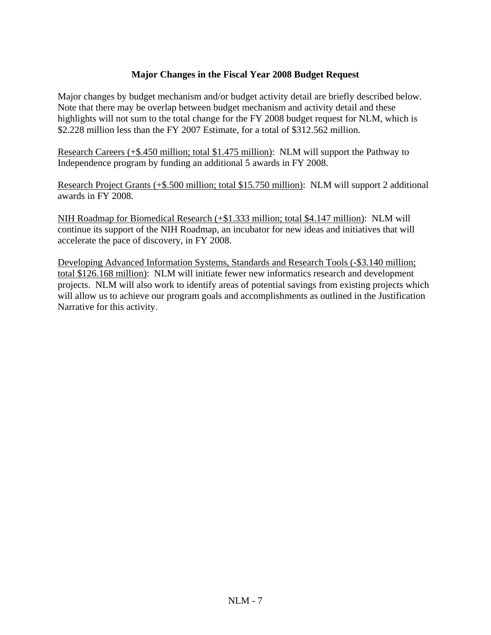#### **Major Changes in the Fiscal Year 2008 Budget Request**

Major changes by budget mechanism and/or budget activity detail are briefly described below. Note that there may be overlap between budget mechanism and activity detail and these highlights will not sum to the total change for the FY 2008 budget request for NLM, which is \$2.228 million less than the FY 2007 Estimate, for a total of \$312.562 million.

Research Careers (+\$.450 million; total \$1.475 million): NLM will support the Pathway to Independence program by funding an additional 5 awards in FY 2008.

Research Project Grants (+\$.500 million; total \$15.750 million): NLM will support 2 additional awards in FY 2008.

NIH Roadmap for Biomedical Research (+\$1.333 million; total \$4.147 million): NLM will continue its support of the NIH Roadmap, an incubator for new ideas and initiatives that will accelerate the pace of discovery, in FY 2008.

Developing Advanced Information Systems, Standards and Research Tools (-\$3.140 million; total \$126.168 million): NLM will initiate fewer new informatics research and development projects. NLM will also work to identify areas of potential savings from existing projects which will allow us to achieve our program goals and accomplishments as outlined in the Justification Narrative for this activity.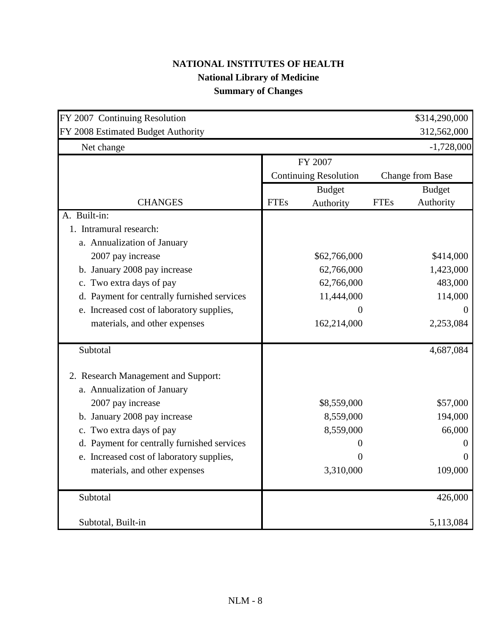# **NATIONAL INSTITUTES OF HEALTH National Library of Medicine Summary of Changes**

| FY 2007 Continuing Resolution               |             |                              |             | \$314,290,000           |
|---------------------------------------------|-------------|------------------------------|-------------|-------------------------|
| FY 2008 Estimated Budget Authority          |             |                              |             | 312,562,000             |
| Net change                                  |             |                              |             | $-1,728,000$            |
|                                             |             | FY 2007                      |             |                         |
|                                             |             | <b>Continuing Resolution</b> |             | <b>Change from Base</b> |
|                                             |             | <b>Budget</b>                |             | <b>Budget</b>           |
| <b>CHANGES</b>                              | <b>FTEs</b> | Authority                    | <b>FTEs</b> | Authority               |
| A. Built-in:                                |             |                              |             |                         |
| 1. Intramural research:                     |             |                              |             |                         |
| a. Annualization of January                 |             |                              |             |                         |
| 2007 pay increase                           |             | \$62,766,000                 |             | \$414,000               |
| b. January 2008 pay increase                |             | 62,766,000                   |             | 1,423,000               |
| c. Two extra days of pay                    |             | 62,766,000                   |             | 483,000                 |
| d. Payment for centrally furnished services |             | 11,444,000                   |             | 114,000                 |
| e. Increased cost of laboratory supplies,   |             | 0                            |             | $\theta$                |
| materials, and other expenses               |             | 162,214,000                  |             | 2,253,084               |
| Subtotal                                    |             |                              |             | 4,687,084               |
| 2. Research Management and Support:         |             |                              |             |                         |
| a. Annualization of January                 |             |                              |             |                         |
| 2007 pay increase                           |             | \$8,559,000                  |             | \$57,000                |
| b. January 2008 pay increase                |             | 8,559,000                    |             | 194,000                 |
| c. Two extra days of pay                    |             | 8,559,000                    |             | 66,000                  |
| d. Payment for centrally furnished services |             |                              |             |                         |
| e. Increased cost of laboratory supplies,   |             |                              |             |                         |
| materials, and other expenses               |             | 3,310,000                    |             | 109,000                 |
| Subtotal                                    |             |                              |             | 426,000                 |
| Subtotal, Built-in                          |             |                              |             | 5,113,084               |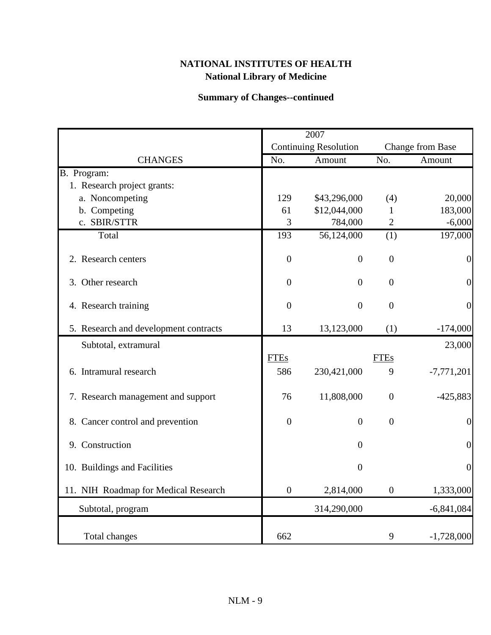## **Summary of Changes--continued**

|                                       |                  | 2007                         |                  |                  |
|---------------------------------------|------------------|------------------------------|------------------|------------------|
|                                       |                  | <b>Continuing Resolution</b> |                  | Change from Base |
| <b>CHANGES</b>                        | No.              | Amount                       | No.              | Amount           |
| B. Program:                           |                  |                              |                  |                  |
| 1. Research project grants:           |                  |                              |                  |                  |
| a. Noncompeting                       | 129              | \$43,296,000                 | (4)              | 20,000           |
| b. Competing                          | 61               | \$12,044,000                 | 1                | 183,000          |
| c. SBIR/STTR                          | 3                | 784,000                      | $\overline{2}$   | $-6,000$         |
| Total                                 | 193              | 56,124,000                   | (1)              | 197,000          |
| 2. Research centers                   | $\boldsymbol{0}$ | $\overline{0}$               | $\boldsymbol{0}$ | $\boldsymbol{0}$ |
| 3. Other research                     | $\overline{0}$   | $\overline{0}$               | $\overline{0}$   | $\boldsymbol{0}$ |
| 4. Research training                  | $\mathbf{0}$     | $\overline{0}$               | $\mathbf{0}$     | $\overline{0}$   |
| 5. Research and development contracts | 13               | 13,123,000                   | (1)              | $-174,000$       |
| Subtotal, extramural                  |                  |                              |                  | 23,000           |
|                                       | <b>FTEs</b>      |                              | <b>FTEs</b>      |                  |
| 6. Intramural research                | 586              | 230,421,000                  | 9                | $-7,771,201$     |
| 7. Research management and support    | 76               | 11,808,000                   | $\overline{0}$   | $-425,883$       |
| 8. Cancer control and prevention      | $\overline{0}$   | $\overline{0}$               | $\boldsymbol{0}$ | $\boldsymbol{0}$ |
| 9. Construction                       |                  | $\overline{0}$               |                  | $\overline{0}$   |
| 10. Buildings and Facilities          |                  | $\boldsymbol{0}$             |                  | $\boldsymbol{0}$ |
| 11. NIH Roadmap for Medical Research  | $\boldsymbol{0}$ | 2,814,000                    | $\boldsymbol{0}$ | 1,333,000        |
| Subtotal, program                     |                  | 314,290,000                  |                  | $-6,841,084$     |
| Total changes                         | 662              |                              | 9                | $-1,728,000$     |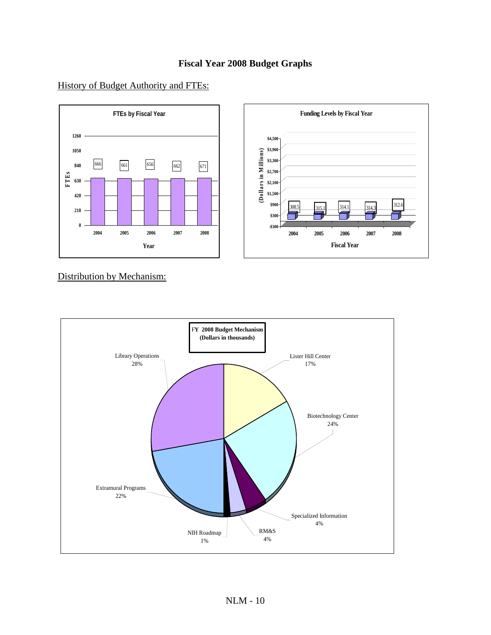### **Fiscal Year 2008 Budget Graphs**



#### History of Budget Authority and FTEs:

Distribution by Mechanism:

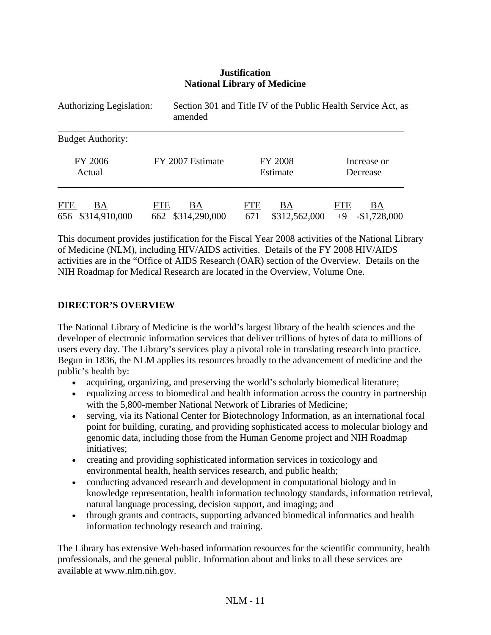#### **Justification National Library of Medicine**

| <b>Authorizing Legislation:</b> | amended          | Section 301 and Title IV of the Public Health Service Act, as |               |
|---------------------------------|------------------|---------------------------------------------------------------|---------------|
| <b>Budget Authority:</b>        |                  |                                                               |               |
| <b>FY 2006</b>                  | FY 2007 Estimate | <b>FY 2008</b>                                                | Increase or   |
| Actual                          |                  | Estimate                                                      | Decrease      |
| <b>FTE</b>                      | ВA               | <b>FTE</b>                                                    | <b>FTE</b>    |
| BA                              | <b>FTE</b>       | BA                                                            | ВA            |
| \$314,910,000                   | \$314,290,000    | \$312,562,000                                                 | $-$1,728,000$ |
| 656                             | 662              | 671                                                           | $+9$          |

This document provides justification for the Fiscal Year 2008 activities of the National Library of Medicine (NLM), including HIV/AIDS activities. Details of the FY 2008 HIV/AIDS activities are in the "Office of AIDS Research (OAR) section of the Overview. Details on the NIH Roadmap for Medical Research are located in the Overview, Volume One.

#### **DIRECTOR'S OVERVIEW**

The National Library of Medicine is the world's largest library of the health sciences and the developer of electronic information services that deliver trillions of bytes of data to millions of users every day. The Library's services play a pivotal role in translating research into practice. Begun in 1836, the NLM applies its resources broadly to the advancement of medicine and the public's health by:

- acquiring, organizing, and preserving the world's scholarly biomedical literature;
- equalizing access to biomedical and health information across the country in partnership with the 5,800-member National Network of Libraries of Medicine;
- serving, via its National Center for Biotechnology Information, as an international focal point for building, curating, and providing sophisticated access to molecular biology and genomic data, including those from the Human Genome project and NIH Roadmap initiatives;
- creating and providing sophisticated information services in toxicology and environmental health, health services research, and public health;
- conducting advanced research and development in computational biology and in knowledge representation, health information technology standards, information retrieval, natural language processing, decision support, and imaging; and
- through grants and contracts, supporting advanced biomedical informatics and health information technology research and training.

The Library has extensive Web-based information resources for the scientific community, health professionals, and the general public. Information about and links to all these services are available at www.nlm.nih.gov.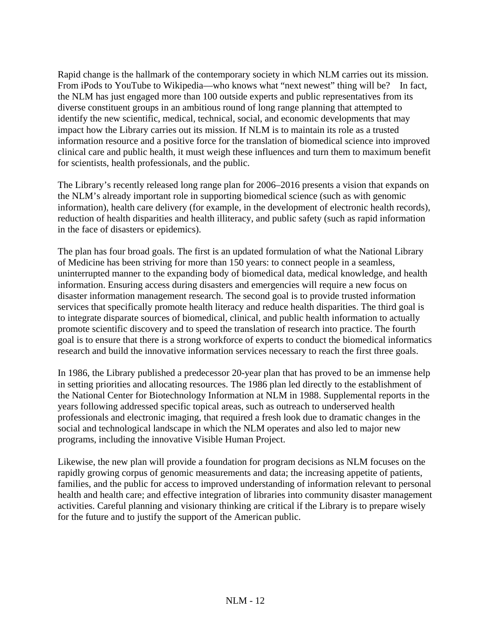Rapid change is the hallmark of the contemporary society in which NLM carries out its mission. From iPods to YouTube to Wikipedia—who knows what "next newest" thing will be? In fact, the NLM has just engaged more than 100 outside experts and public representatives from its diverse constituent groups in an ambitious round of long range planning that attempted to identify the new scientific, medical, technical, social, and economic developments that may impact how the Library carries out its mission. If NLM is to maintain its role as a trusted information resource and a positive force for the translation of biomedical science into improved clinical care and public health, it must weigh these influences and turn them to maximum benefit for scientists, health professionals, and the public.

The Library's recently released long range plan for 2006–2016 presents a vision that expands on the NLM's already important role in supporting biomedical science (such as with genomic information), health care delivery (for example, in the development of electronic health records), reduction of health disparities and health illiteracy, and public safety (such as rapid information in the face of disasters or epidemics).

The plan has four broad goals. The first is an updated formulation of what the National Library of Medicine has been striving for more than 150 years: to connect people in a seamless, uninterrupted manner to the expanding body of biomedical data, medical knowledge, and health information. Ensuring access during disasters and emergencies will require a new focus on disaster information management research. The second goal is to provide trusted information services that specifically promote health literacy and reduce health disparities. The third goal is to integrate disparate sources of biomedical, clinical, and public health information to actually promote scientific discovery and to speed the translation of research into practice. The fourth goal is to ensure that there is a strong workforce of experts to conduct the biomedical informatics research and build the innovative information services necessary to reach the first three goals.

In 1986, the Library published a predecessor 20-year plan that has proved to be an immense help in setting priorities and allocating resources. The 1986 plan led directly to the establishment of the National Center for Biotechnology Information at NLM in 1988. Supplemental reports in the years following addressed specific topical areas, such as outreach to underserved health professionals and electronic imaging, that required a fresh look due to dramatic changes in the social and technological landscape in which the NLM operates and also led to major new programs, including the innovative Visible Human Project.

Likewise, the new plan will provide a foundation for program decisions as NLM focuses on the rapidly growing corpus of genomic measurements and data; the increasing appetite of patients, families, and the public for access to improved understanding of information relevant to personal health and health care; and effective integration of libraries into community disaster management activities. Careful planning and visionary thinking are critical if the Library is to prepare wisely for the future and to justify the support of the American public.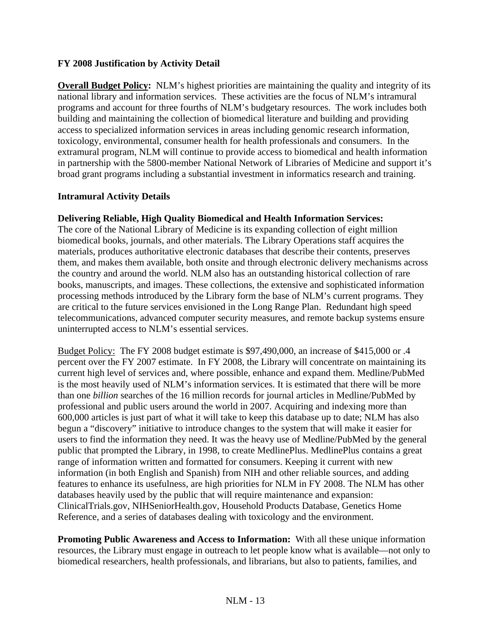#### **FY 2008 Justification by Activity Detail**

**Overall Budget Policy:** NLM's highest priorities are maintaining the quality and integrity of its national library and information services. These activities are the focus of NLM's intramural programs and account for three fourths of NLM's budgetary resources. The work includes both building and maintaining the collection of biomedical literature and building and providing access to specialized information services in areas including genomic research information, toxicology, environmental, consumer health for health professionals and consumers. In the extramural program, NLM will continue to provide access to biomedical and health information in partnership with the 5800-member National Network of Libraries of Medicine and support it's broad grant programs including a substantial investment in informatics research and training.

#### **Intramural Activity Details**

#### **Delivering Reliable, High Quality Biomedical and Health Information Services:**

The core of the National Library of Medicine is its expanding collection of eight million biomedical books, journals, and other materials. The Library Operations staff acquires the materials, produces authoritative electronic databases that describe their contents, preserves them, and makes them available, both onsite and through electronic delivery mechanisms across the country and around the world. NLM also has an outstanding historical collection of rare books, manuscripts, and images. These collections, the extensive and sophisticated information processing methods introduced by the Library form the base of NLM's current programs. They are critical to the future services envisioned in the Long Range Plan. Redundant high speed telecommunications, advanced computer security measures, and remote backup systems ensure uninterrupted access to NLM's essential services.

Budget Policy: The FY 2008 budget estimate is \$97,490,000, an increase of \$415,000 or .4 percent over the FY 2007 estimate. In FY 2008, the Library will concentrate on maintaining its current high level of services and, where possible, enhance and expand them. Medline/PubMed is the most heavily used of NLM's information services. It is estimated that there will be more than one *billion* searches of the 16 million records for journal articles in Medline/PubMed by professional and public users around the world in 2007. Acquiring and indexing more than 600,000 articles is just part of what it will take to keep this database up to date; NLM has also begun a "discovery" initiative to introduce changes to the system that will make it easier for users to find the information they need. It was the heavy use of Medline/PubMed by the general public that prompted the Library, in 1998, to create MedlinePlus. MedlinePlus contains a great range of information written and formatted for consumers. Keeping it current with new information (in both English and Spanish) from NIH and other reliable sources, and adding features to enhance its usefulness, are high priorities for NLM in FY 2008. The NLM has other databases heavily used by the public that will require maintenance and expansion: ClinicalTrials.gov, NIHSeniorHealth.gov, Household Products Database, Genetics Home Reference, and a series of databases dealing with toxicology and the environment.

**Promoting Public Awareness and Access to Information:** With all these unique information resources, the Library must engage in outreach to let people know what is available—not only to biomedical researchers, health professionals, and librarians, but also to patients, families, and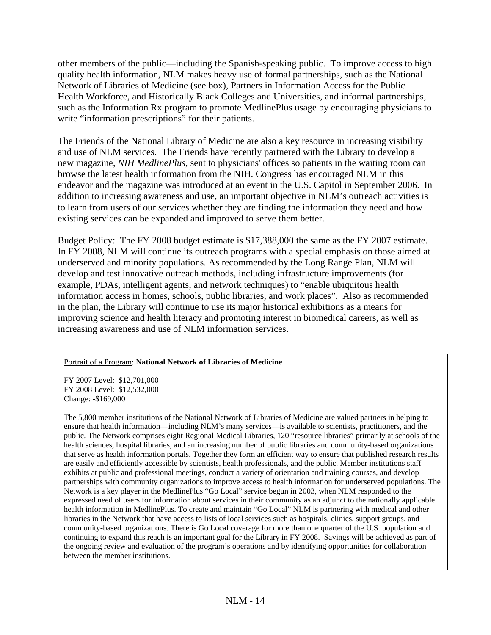other members of the public—including the Spanish-speaking public. To improve access to high quality health information, NLM makes heavy use of formal partnerships, such as the National Network of Libraries of Medicine (see box), Partners in Information Access for the Public Health Workforce, and Historically Black Colleges and Universities, and informal partnerships, such as the Information Rx program to promote MedlinePlus usage by encouraging physicians to write "information prescriptions" for their patients.

The Friends of the National Library of Medicine are also a key resource in increasing visibility and use of NLM services. The Friends have recently partnered with the Library to develop a new magazine, *NIH MedlinePlus*, sent to physicians' offices so patients in the waiting room can browse the latest health information from the NIH. Congress has encouraged NLM in this endeavor and the magazine was introduced at an event in the U.S. Capitol in September 2006. In addition to increasing awareness and use, an important objective in NLM's outreach activities is to learn from users of our services whether they are finding the information they need and how existing services can be expanded and improved to serve them better.

Budget Policy: The FY 2008 budget estimate is \$17,388,000 the same as the FY 2007 estimate. In FY 2008, NLM will continue its outreach programs with a special emphasis on those aimed at underserved and minority populations. As recommended by the Long Range Plan, NLM will develop and test innovative outreach methods, including infrastructure improvements (for example, PDAs, intelligent agents, and network techniques) to "enable ubiquitous health information access in homes, schools, public libraries, and work places". Also as recommended in the plan, the Library will continue to use its major historical exhibitions as a means for improving science and health literacy and promoting interest in biomedical careers, as well as increasing awareness and use of NLM information services.

#### Portrait of a Program: **National Network of Libraries of Medicine**

FY 2007 Level: \$12,701,000 FY 2008 Level: \$12,532,000 Change: -\$169,000

The 5,800 member institutions of the National Network of Libraries of Medicine are valued partners in helping to ensure that health information—including NLM's many services—is available to scientists, practitioners, and the public. The Network comprises eight Regional Medical Libraries, 120 "resource libraries" primarily at schools of the health sciences, hospital libraries, and an increasing number of public libraries and community-based organizations that serve as health information portals. Together they form an efficient way to ensure that published research results are easily and efficiently accessible by scientists, health professionals, and the public. Member institutions staff exhibits at public and professional meetings, conduct a variety of orientation and training courses, and develop partnerships with community organizations to improve access to health information for underserved populations. The Network is a key player in the MedlinePlus "Go Local" service begun in 2003, when NLM responded to the expressed need of users for information about services in their community as an adjunct to the nationally applicable health information in MedlinePlus. To create and maintain "Go Local" NLM is partnering with medical and other libraries in the Network that have access to lists of local services such as hospitals, clinics, support groups, and community-based organizations. There is Go Local coverage for more than one quarter of the U.S. population and continuing to expand this reach is an important goal for the Library in FY 2008. Savings will be achieved as part of the ongoing review and evaluation of the program's operations and by identifying opportunities for collaboration between the member institutions.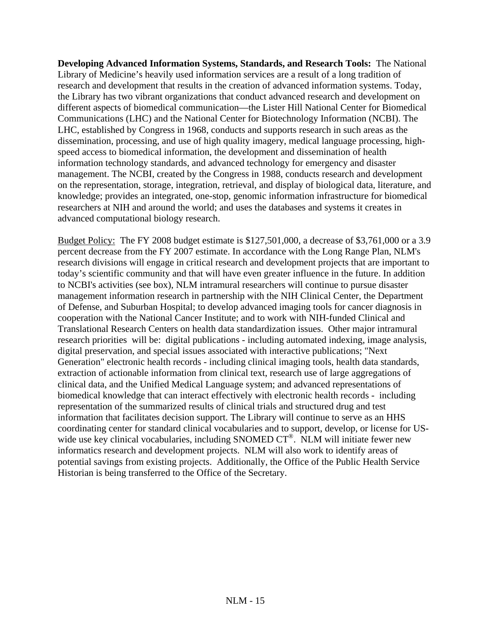**Developing Advanced Information Systems, Standards, and Research Tools:** The National Library of Medicine's heavily used information services are a result of a long tradition of research and development that results in the creation of advanced information systems. Today, the Library has two vibrant organizations that conduct advanced research and development on different aspects of biomedical communication—the Lister Hill National Center for Biomedical Communications (LHC) and the National Center for Biotechnology Information (NCBI). The LHC, established by Congress in 1968, conducts and supports research in such areas as the dissemination, processing, and use of high quality imagery, medical language processing, highspeed access to biomedical information, the development and dissemination of health information technology standards, and advanced technology for emergency and disaster management. The NCBI, created by the Congress in 1988, conducts research and development on the representation, storage, integration, retrieval, and display of biological data, literature, and knowledge; provides an integrated, one-stop, genomic information infrastructure for biomedical researchers at NIH and around the world; and uses the databases and systems it creates in advanced computational biology research.

Budget Policy: The FY 2008 budget estimate is \$127,501,000, a decrease of \$3,761,000 or a 3.9 percent decrease from the FY 2007 estimate. In accordance with the Long Range Plan, NLM's research divisions will engage in critical research and development projects that are important to today's scientific community and that will have even greater influence in the future. In addition to NCBI's activities (see box), NLM intramural researchers will continue to pursue disaster management information research in partnership with the NIH Clinical Center, the Department of Defense, and Suburban Hospital; to develop advanced imaging tools for cancer diagnosis in cooperation with the National Cancer Institute; and to work with NIH-funded Clinical and Translational Research Centers on health data standardization issues. Other major intramural research priorities will be: digital publications - including automated indexing, image analysis, digital preservation, and special issues associated with interactive publications; "Next Generation" electronic health records - including clinical imaging tools, health data standards, extraction of actionable information from clinical text, research use of large aggregations of clinical data, and the Unified Medical Language system; and advanced representations of biomedical knowledge that can interact effectively with electronic health records - including representation of the summarized results of clinical trials and structured drug and test information that facilitates decision support. The Library will continue to serve as an HHS coordinating center for standard clinical vocabularies and to support, develop, or license for USwide use key clinical vocabularies, including SNOMED CT®. NLM will initiate fewer new informatics research and development projects. NLM will also work to identify areas of potential savings from existing projects. Additionally, the Office of the Public Health Service Historian is being transferred to the Office of the Secretary.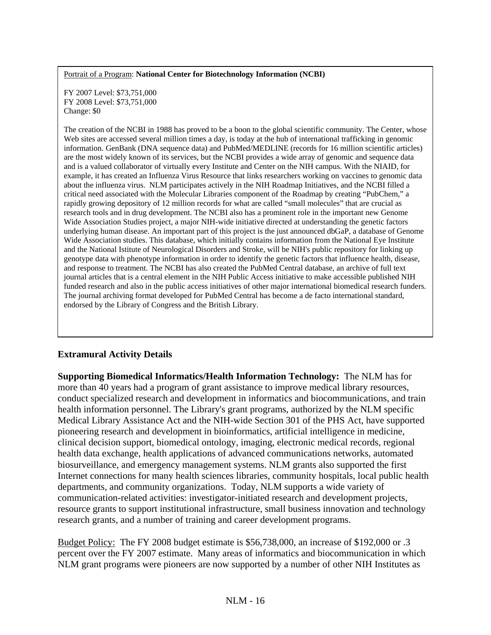#### Portrait of a Program: **National Center for Biotechnology Information (NCBI)**

FY 2007 Level: \$73,751,000 FY 2008 Level: \$73,751,000 Change: \$0

The creation of the NCBI in 1988 has proved to be a boon to the global scientific community. The Center, whose Web sites are accessed several million times a day, is today at the hub of international trafficking in genomic information. GenBank (DNA sequence data) and PubMed/MEDLINE (records for 16 million scientific articles) are the most widely known of its services, but the NCBI provides a wide array of genomic and sequence data and is a valued collaborator of virtually every Institute and Center on the NIH campus. With the NIAID, for example, it has created an Influenza Virus Resource that links researchers working on vaccines to genomic data about the influenza virus. NLM participates actively in the NIH Roadmap Initiatives, and the NCBI filled a critical need associated with the Molecular Libraries component of the Roadmap by creating "PubChem," a rapidly growing depository of 12 million records for what are called "small molecules" that are crucial as research tools and in drug development. The NCBI also has a prominent role in the important new Genome Wide Association Studies project, a major NIH-wide initiative directed at understanding the genetic factors underlying human disease. An important part of this project is the just announced dbGaP, a database of Genome Wide Association studies. This database, which initially contains information from the National Eye Institute and the National Istitute of Neurological Disorders and Stroke, will be NIH's public repository for linking up genotype data with phenotype information in order to identify the genetic factors that influence health, disease, and response to treatment. The NCBI has also created the PubMed Central database, an archive of full text journal articles that is a central element in the NIH Public Access initiative to make accessible published NIH funded research and also in the public access initiatives of other major international biomedical research funders. The journal archiving format developed for PubMed Central has become a de facto international standard, endorsed by the Library of Congress and the British Library.

#### **Extramural Activity Details**

**Supporting Biomedical Informatics/Health Information Technology:** The NLM has for more than 40 years had a program of grant assistance to improve medical library resources, conduct specialized research and development in informatics and biocommunications, and train health information personnel. The Library's grant programs, authorized by the NLM specific Medical Library Assistance Act and the NIH-wide Section 301 of the PHS Act, have supported pioneering research and development in bioinformatics, artificial intelligence in medicine, clinical decision support, biomedical ontology, imaging, electronic medical records, regional health data exchange, health applications of advanced communications networks, automated biosurveillance, and emergency management systems. NLM grants also supported the first Internet connections for many health sciences libraries, community hospitals, local public health departments, and community organizations. Today, NLM supports a wide variety of communication-related activities: investigator-initiated research and development projects, resource grants to support institutional infrastructure, small business innovation and technology research grants, and a number of training and career development programs.

Budget Policy: The FY 2008 budget estimate is \$56,738,000, an increase of \$192,000 or .3 percent over the FY 2007 estimate. Many areas of informatics and biocommunication in which NLM grant programs were pioneers are now supported by a number of other NIH Institutes as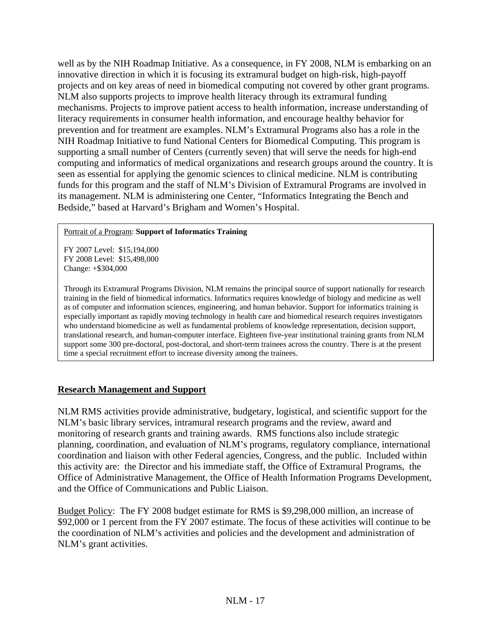well as by the NIH Roadmap Initiative. As a consequence, in FY 2008, NLM is embarking on an innovative direction in which it is focusing its extramural budget on high-risk, high-payoff projects and on key areas of need in biomedical computing not covered by other grant programs. NLM also supports projects to improve health literacy through its extramural funding mechanisms. Projects to improve patient access to health information, increase understanding of literacy requirements in consumer health information, and encourage healthy behavior for prevention and for treatment are examples. NLM's Extramural Programs also has a role in the NIH Roadmap Initiative to fund National Centers for Biomedical Computing. This program is supporting a small number of Centers (currently seven) that will serve the needs for high-end computing and informatics of medical organizations and research groups around the country. It is seen as essential for applying the genomic sciences to clinical medicine. NLM is contributing funds for this program and the staff of NLM's Division of Extramural Programs are involved in its management. NLM is administering one Center, "Informatics Integrating the Bench and Bedside," based at Harvard's Brigham and Women's Hospital.

#### Portrait of a Program: **Support of Informatics Training**

FY 2007 Level: \$15,194,000 FY 2008 Level: \$15,498,000 Change: +\$304,000

Through its Extramural Programs Division, NLM remains the principal source of support nationally for research training in the field of biomedical informatics. Informatics requires knowledge of biology and medicine as well as of computer and information sciences, engineering, and human behavior. Support for informatics training is especially important as rapidly moving technology in health care and biomedical research requires investigators who understand biomedicine as well as fundamental problems of knowledge representation, decision support, translational research, and human-computer interface. Eighteen five-year institutional training grants from NLM support some 300 pre-doctoral, post-doctoral, and short-term trainees across the country. There is at the present time a special recruitment effort to increase diversity among the trainees.

### **Research Management and Support**

NLM RMS activities provide administrative, budgetary, logistical, and scientific support for the NLM's basic library services, intramural research programs and the review, award and monitoring of research grants and training awards. RMS functions also include strategic planning, coordination, and evaluation of NLM's programs, regulatory compliance, international coordination and liaison with other Federal agencies, Congress, and the public. Included within this activity are: the Director and his immediate staff, the Office of Extramural Programs, the Office of Administrative Management, the Office of Health Information Programs Development, and the Office of Communications and Public Liaison.

Budget Policy: The FY 2008 budget estimate for RMS is \$9,298,000 million, an increase of \$92,000 or 1 percent from the FY 2007 estimate. The focus of these activities will continue to be the coordination of NLM's activities and policies and the development and administration of NLM's grant activities.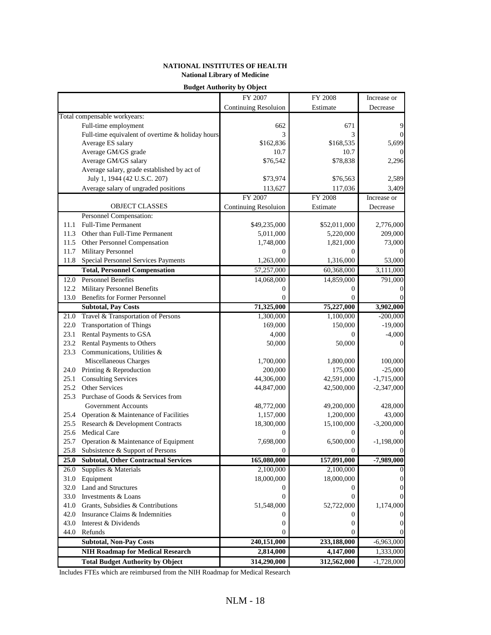|      |                                                  | FY 2007              | FY 2008      | Increase or  |
|------|--------------------------------------------------|----------------------|--------------|--------------|
|      |                                                  | Continuing Resoluion | Estimate     | Decrease     |
|      | Total compensable workyears:                     |                      |              |              |
|      | Full-time employment                             | 662                  | 671          | 9            |
|      | Full-time equivalent of overtime & holiday hours | 3                    | 3            | $\Omega$     |
|      | Average ES salary                                | \$162,836            | \$168,535    | 5,699        |
|      | Average GM/GS grade                              | 10.7                 | 10.7         |              |
|      | Average GM/GS salary                             | \$76,542             | \$78,838     | 2,296        |
|      | Average salary, grade established by act of      |                      |              |              |
|      | July 1, 1944 (42 U.S.C. 207)                     | \$73,974             | \$76,563     | 2,589        |
|      | Average salary of ungraded positions             | 113,627              | 117,036      | 3,409        |
|      |                                                  | FY 2007              | FY 2008      | Increase or  |
|      | OBJECT CLASSES                                   | Continuing Resoluion | Estimate     | Decrease     |
|      | Personnel Compensation:                          |                      |              |              |
| 11.1 | <b>Full-Time Permanent</b>                       | \$49,235,000         | \$52,011,000 | 2,776,000    |
|      | 11.3 Other than Full-Time Permanent              | 5,011,000            | 5,220,000    | 209,000      |
|      | 11.5 Other Personnel Compensation                | 1,748,000            | 1,821,000    | 73,000       |
| 11.7 | Military Personnel                               | $\Omega$             | $^{(1)}$     |              |
|      | 11.8 Special Personnel Services Payments         | 1,263,000            | 1,316,000    | 53,000       |
|      | <b>Total, Personnel Compensation</b>             | 57,257,000           | 60,368,000   | 3,111,000    |
| 12.0 | <b>Personnel Benefits</b>                        | 14,068,000           | 14,859,000   | 791,000      |
|      | 12.2 Military Personnel Benefits                 | 0                    | 0            | $\Omega$     |
|      | 13.0 Benefits for Former Personnel               | 0                    | $\Omega$     | 0            |
|      | <b>Subtotal, Pay Costs</b>                       | 71,325,000           | 75,227,000   | 3,902,000    |
|      | 21.0 Travel & Transportation of Persons          | 1,300,000            | 1,100,000    | $-200,000$   |
|      | 22.0 Transportation of Things                    | 169,000              | 150,000      | $-19,000$    |
|      | 23.1 Rental Payments to GSA                      | 4,000                | $\Omega$     | $-4,000$     |
| 23.2 | Rental Payments to Others                        | 50,000               | 50,000       | $\Omega$     |
| 23.3 | Communications, Utilities &                      |                      |              |              |
|      | Miscellaneous Charges                            | 1,700,000            | 1,800,000    | 100,000      |
|      | 24.0 Printing & Reproduction                     | 200,000              | 175,000      | $-25,000$    |
|      | 25.1 Consulting Services                         | 44,306,000           | 42,591,000   | $-1,715,000$ |
|      | 25.2 Other Services                              | 44,847,000           | 42,500,000   | $-2,347,000$ |
| 25.3 | Purchase of Goods & Services from                |                      |              |              |
|      | <b>Government Accounts</b>                       | 48,772,000           | 49,200,000   | 428,000      |
| 25.4 | Operation & Maintenance of Facilities            | 1,157,000            | 1,200,000    | 43,000       |
| 25.5 | Research & Development Contracts                 | 18,300,000           | 15,100,000   | $-3,200,000$ |
|      | 25.6 Medical Care                                | 0                    | $^{(1)}$     |              |
|      | 25.7 Operation & Maintenance of Equipment        | 7,698,000            | 6,500,000    | $-1,198,000$ |
|      | 25.8 Subsistence & Support of Persons            | $\Omega$             | $\Omega$     | $\Omega$     |
|      | 25.0 Subtotal, Other Contractual Services        | 165,080,000          | 157,091,000  | $-7,989,000$ |
| 26.0 | Supplies & Materials                             | 2,100,000            | 2,100,000    |              |
|      | 31.0 Equipment                                   | 18,000,000           | 18,000,000   | 0            |
|      | 32.0 Land and Structures                         | $_{0}$               | 0            |              |
|      | 33.0 Investments & Loans                         | 0                    | 0            |              |
|      | 41.0 Grants, Subsidies & Contributions           | 51,548,000           | 52,722,000   | 1,174,000    |
|      | 42.0 Insurance Claims & Indemnities              | 0                    | 0            |              |
|      | 43.0 Interest & Dividends                        | 0                    | 0            | 0            |
|      | 44.0 Refunds                                     |                      | $\Omega$     |              |
|      | <b>Subtotal, Non-Pay Costs</b>                   | 240,151,000          | 233,188,000  | $-6,963,000$ |
|      | <b>NIH Roadmap for Medical Research</b>          | 2,814,000            | 4,147,000    | 1,333,000    |
|      | <b>Total Budget Authority by Object</b>          | 314,290,000          | 312,562,000  | $-1,728,000$ |

Includes FTEs which are reimbursed from the NIH Roadmap for Medical Research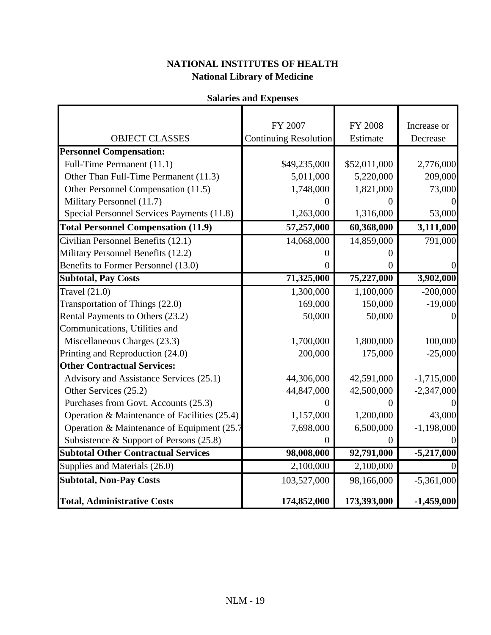# **Salaries and Expenses**

|                                              | FY 2007                      | <b>FY 2008</b>   | Increase or  |
|----------------------------------------------|------------------------------|------------------|--------------|
| <b>OBJECT CLASSES</b>                        | <b>Continuing Resolution</b> | Estimate         | Decrease     |
| <b>Personnel Compensation:</b>               |                              |                  |              |
| Full-Time Permanent (11.1)                   | \$49,235,000                 | \$52,011,000     | 2,776,000    |
| Other Than Full-Time Permanent (11.3)        | 5,011,000                    | 5,220,000        | 209,000      |
| Other Personnel Compensation (11.5)          | 1,748,000                    | 1,821,000        | 73,000       |
| Military Personnel (11.7)                    |                              |                  |              |
| Special Personnel Services Payments (11.8)   | 1,263,000                    | 1,316,000        | 53,000       |
| <b>Total Personnel Compensation (11.9)</b>   | 57,257,000                   | 60,368,000       | 3,111,000    |
| Civilian Personnel Benefits (12.1)           | 14,068,000                   | 14,859,000       | 791,000      |
| Military Personnel Benefits (12.2)           | 0                            | 0                |              |
| Benefits to Former Personnel (13.0)          | 0                            | $\overline{0}$   |              |
| <b>Subtotal, Pay Costs</b>                   | 71,325,000                   | 75,227,000       | 3,902,000    |
| Travel $(21.0)$                              | 1,300,000                    | 1,100,000        | $-200,000$   |
| Transportation of Things (22.0)              | 169,000                      | 150,000          | $-19,000$    |
| Rental Payments to Others (23.2)             | 50,000                       | 50,000           |              |
| Communications, Utilities and                |                              |                  |              |
| Miscellaneous Charges (23.3)                 | 1,700,000                    | 1,800,000        | 100,000      |
| Printing and Reproduction (24.0)             | 200,000                      | 175,000          | $-25,000$    |
| <b>Other Contractual Services:</b>           |                              |                  |              |
| Advisory and Assistance Services (25.1)      | 44,306,000                   | 42,591,000       | $-1,715,000$ |
| Other Services (25.2)                        | 44,847,000                   | 42,500,000       | $-2,347,000$ |
| Purchases from Govt. Accounts (25.3)         | 0                            | 0                |              |
| Operation & Maintenance of Facilities (25.4) | 1,157,000                    | 1,200,000        | 43,000       |
| Operation & Maintenance of Equipment (25.7)  | 7,698,000                    | 6,500,000        | $-1,198,000$ |
| Subsistence & Support of Persons $(25.8)$    | $\overline{0}$               | $\boldsymbol{0}$ |              |
| <b>Subtotal Other Contractual Services</b>   | 98,008,000                   | 92,791,000       | $-5,217,000$ |
| Supplies and Materials (26.0)                | 2,100,000                    | 2,100,000        |              |
| <b>Subtotal, Non-Pay Costs</b>               | 103,527,000                  | 98,166,000       | $-5,361,000$ |
| <b>Total, Administrative Costs</b>           | 174,852,000                  | 173,393,000      | $-1,459,000$ |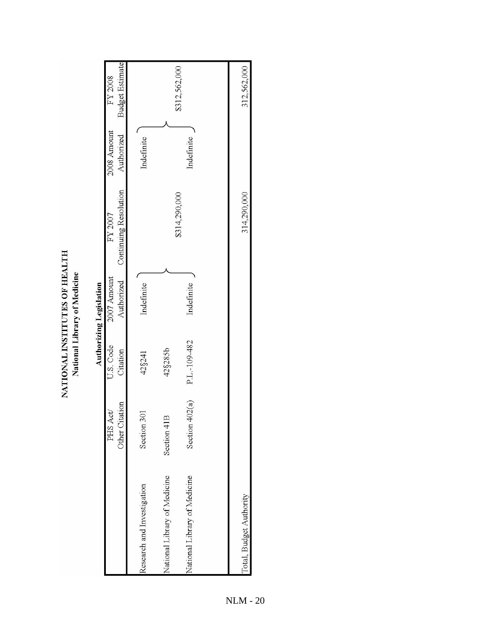|                              |                           |                       | National Library of Medicine   |                                  |                           |                                   |
|------------------------------|---------------------------|-----------------------|--------------------------------|----------------------------------|---------------------------|-----------------------------------|
|                              |                           |                       | <b>Authorizing Legislation</b> |                                  |                           |                                   |
|                              | Other Citation<br>PHS Act | U.S. Code<br>Citation | 2007 Amount<br>Authorized      | Continuing Resolution<br>FY 2007 | 2008 Amount<br>Authorized | <b>Budget Estimate</b><br>FY 2008 |
| Research and Investigation   | Section 301               | 42§241                | Indefinite                     |                                  | Indefinite                |                                   |
| National Library of Medicine | Section 41B               | 42§285b               |                                |                                  |                           |                                   |
| National Library of Medicine | Section 402(a)            | P.L.-109-482          | Indefinite                     | \$314,290,000                    | Indefinite                | \$312,562,000                     |
|                              |                           |                       |                                |                                  |                           |                                   |
| Total, Budget Authority      |                           |                       |                                | 314,290,000                      |                           | 312,562,000                       |
|                              |                           |                       |                                |                                  |                           |                                   |

NLM - 20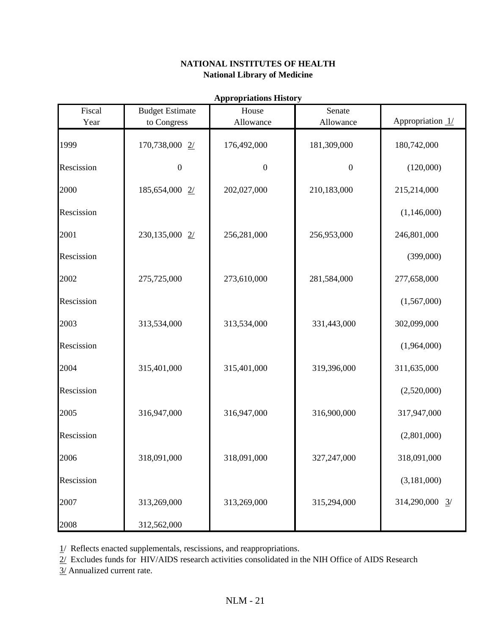| Fiscal     | <b>Budget Estimate</b> | House            | Senate           |                              |
|------------|------------------------|------------------|------------------|------------------------------|
| Year       | to Congress            | Allowance        | Allowance        | Appropriation 1/             |
| 1999       | 170,738,000 2/         | 176,492,000      | 181,309,000      | 180,742,000                  |
| Rescission | $\boldsymbol{0}$       | $\boldsymbol{0}$ | $\boldsymbol{0}$ | (120,000)                    |
| 2000       | 185,654,000 2/         | 202,027,000      | 210,183,000      | 215,214,000                  |
| Rescission |                        |                  |                  | (1,146,000)                  |
| 2001       | 230,135,000 2/         | 256,281,000      | 256,953,000      | 246,801,000                  |
| Rescission |                        |                  |                  | (399,000)                    |
| 2002       | 275,725,000            | 273,610,000      | 281,584,000      | 277,658,000                  |
| Rescission |                        |                  |                  | (1,567,000)                  |
| 2003       | 313,534,000            | 313,534,000      | 331,443,000      | 302,099,000                  |
| Rescission |                        |                  |                  | (1,964,000)                  |
| 2004       | 315,401,000            | 315,401,000      | 319,396,000      | 311,635,000                  |
| Rescission |                        |                  |                  | (2,520,000)                  |
| 2005       | 316,947,000            | 316,947,000      | 316,900,000      | 317,947,000                  |
| Rescission |                        |                  |                  | (2,801,000)                  |
| 2006       | 318,091,000            | 318,091,000      | 327,247,000      | 318,091,000                  |
| Rescission |                        |                  |                  | (3,181,000)                  |
| 2007       | 313,269,000            | 313,269,000      | 315,294,000      | 314,290,000<br>$\frac{3}{2}$ |
| 2008       | 312,562,000            |                  |                  |                              |

**Appropriations History**

1/ Reflects enacted supplementals, rescissions, and reappropriations.

 $\frac{2}{\sqrt{2}}$  Excludes funds for HIV/AIDS research activities consolidated in the NIH Office of AIDS Research

3/ Annualized current rate.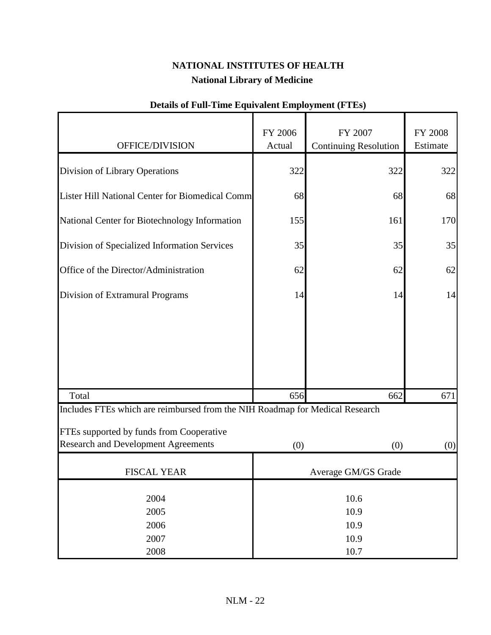| OFFICE/DIVISION                                                                                                                                                        | FY 2006<br>Actual   | FY 2007<br><b>Continuing Resolution</b> | FY 2008<br>Estimate |  |
|------------------------------------------------------------------------------------------------------------------------------------------------------------------------|---------------------|-----------------------------------------|---------------------|--|
|                                                                                                                                                                        |                     |                                         |                     |  |
| Division of Library Operations                                                                                                                                         | 322                 | 322                                     | 322                 |  |
| Lister Hill National Center for Biomedical Comm                                                                                                                        | 68                  | 68                                      | 68                  |  |
| National Center for Biotechnology Information                                                                                                                          | 155                 | 161                                     | 170                 |  |
| Division of Specialized Information Services                                                                                                                           | 35                  | 35                                      | 35                  |  |
| Office of the Director/Administration                                                                                                                                  | 62                  | 62                                      | 62                  |  |
| Division of Extramural Programs                                                                                                                                        | 14                  | 14                                      | 14                  |  |
|                                                                                                                                                                        |                     |                                         |                     |  |
| Total                                                                                                                                                                  | 656                 | 662                                     | 671                 |  |
| Includes FTEs which are reimbursed from the NIH Roadmap for Medical Research<br>FTEs supported by funds from Cooperative<br><b>Research and Development Agreements</b> | (0)                 | (0)                                     | (0)                 |  |
| <b>FISCAL YEAR</b>                                                                                                                                                     | Average GM/GS Grade |                                         |                     |  |
| 2004<br>2005<br>2006<br>2007                                                                                                                                           |                     | 10.6<br>10.9<br>10.9<br>10.9            |                     |  |
| 2008                                                                                                                                                                   | 10.7                |                                         |                     |  |

## **Details of Full-Time Equivalent Employment (FTEs)**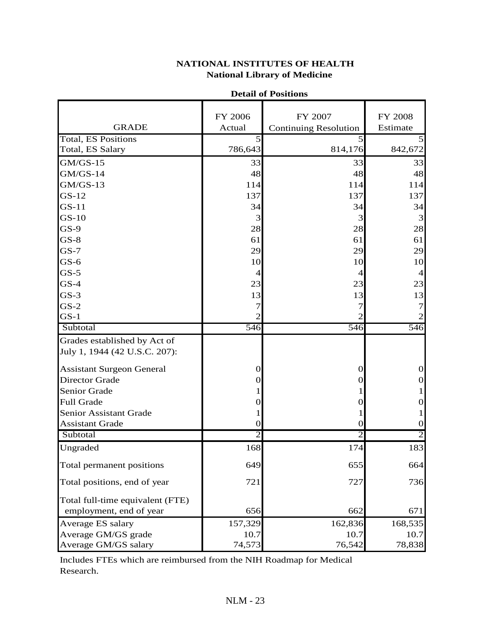|                                  | FY 2006        | FY 2007                      | FY 2008        |
|----------------------------------|----------------|------------------------------|----------------|
| <b>GRADE</b>                     | Actual         | <b>Continuing Resolution</b> | Estimate       |
| <b>Total, ES Positions</b>       | $\overline{5}$ | 5                            |                |
| Total, ES Salary                 | 786,643        | 814,176                      | 842,672        |
| $GM/GS-15$                       | 33             | 33                           | 33             |
| $GM/GS-14$                       | 48             | 48                           | 48             |
| $GM/GS-13$                       | 114            | 114                          | 114            |
| $GS-12$                          | 137            | 137                          | 137            |
| $GS-11$                          | 34             | 34                           | 34             |
| $GS-10$                          | 3              | 3                            | 3              |
| $GS-9$                           | 28             | 28                           | 28             |
| $GS-8$                           | 61             | 61                           | 61             |
| $GS-7$                           | 29             | 29                           | 29             |
| $GS-6$                           | 10             | 10                           | 10             |
| $GS-5$                           | 4              | 4                            | $\overline{4}$ |
| $GS-4$                           | 23             | 23                           | 23             |
| $GS-3$                           | 13             | 13                           | 13             |
| $GS-2$                           | 7              | 7                            | 7              |
| $GS-1$                           |                | 2                            |                |
| Subtotal                         | 546            | 546                          | 546            |
| Grades established by Act of     |                |                              |                |
| July 1, 1944 (42 U.S.C. 207):    |                |                              |                |
| <b>Assistant Surgeon General</b> | $\theta$       | $\theta$                     | $\Omega$       |
| <b>Director Grade</b>            | $\Omega$       | $\Omega$                     | 0              |
| Senior Grade                     |                |                              |                |
| Full Grade                       | 0              | $\Omega$                     | O              |
| Senior Assistant Grade           |                |                              |                |
| <b>Assistant Grade</b>           | $\theta$       | $\theta$                     | 0              |
| Subtotal                         | $\overline{2}$ | 2                            | 2              |
| Ungraded                         | 168            | 174                          | 183            |
| Total permanent positions        | 649            | 655                          | 664            |
| Total positions, end of year     | 721            | 727                          | 736            |
| Total full-time equivalent (FTE) |                |                              |                |
| employment, end of year          | 656            | 662                          | 671            |
| Average ES salary                | 157,329        | 162,836                      | 168,535        |
| Average GM/GS grade              | 10.7           | 10.7                         | 10.7           |
| Average GM/GS salary             | 74,573         | 76,542                       | 78,838         |

#### **Detail of Positions**

Includes FTEs which are reimbursed from the NIH Roadmap for Medical Research.